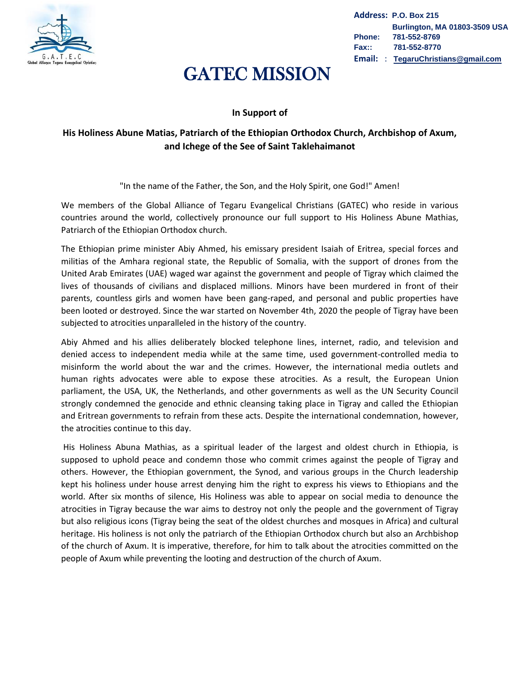

**Address: P.O. Box 215 Burlington, MA 01803-3509 USA Phone: 781-552-8769 Fax:: 781-552-8770 Email:** : **[TegaruChristians@gmail.com](mailto:TegaruChristians@gmail.com)**

## GATEC MISSION

## **In Support of**

## **His Holiness Abune Matias, Patriarch of the Ethiopian Orthodox Church, Archbishop of Axum, and Ichege of the See of Saint Taklehaimanot**

"In the name of the Father, the Son, and the Holy Spirit, one God!" Amen!

We members of the Global Alliance of Tegaru Evangelical Christians (GATEC) who reside in various countries around the world, collectively pronounce our full support to His Holiness Abune Mathias, Patriarch of the Ethiopian Orthodox church.

The Ethiopian prime minister Abiy Ahmed, his emissary president Isaiah of Eritrea, special forces and militias of the Amhara regional state, the Republic of Somalia, with the support of drones from the United Arab Emirates (UAE) waged war against the government and people of Tigray which claimed the lives of thousands of civilians and displaced millions. Minors have been murdered in front of their parents, countless girls and women have been gang-raped, and personal and public properties have been looted or destroyed. Since the war started on November 4th, 2020 the people of Tigray have been subjected to atrocities unparalleled in the history of the country.

Abiy Ahmed and his allies deliberately blocked telephone lines, internet, radio, and television and denied access to independent media while at the same time, used government-controlled media to misinform the world about the war and the crimes. However, the international media outlets and human rights advocates were able to expose these atrocities. As a result, the European Union parliament, the USA, UK, the Netherlands, and other governments as well as the UN Security Council strongly condemned the genocide and ethnic cleansing taking place in Tigray and called the Ethiopian and Eritrean governments to refrain from these acts. Despite the international condemnation, however, the atrocities continue to this day.

His Holiness Abuna Mathias, as a spiritual leader of the largest and oldest church in Ethiopia, is supposed to uphold peace and condemn those who commit crimes against the people of Tigray and others. However, the Ethiopian government, the Synod, and various groups in the Church leadership kept his holiness under house arrest denying him the right to express his views to Ethiopians and the world. After six months of silence, His Holiness was able to appear on social media to denounce the atrocities in Tigray because the war aims to destroy not only the people and the government of Tigray but also religious icons (Tigray being the seat of the oldest churches and mosques in Africa) and cultural heritage. His holiness is not only the patriarch of the Ethiopian Orthodox church but also an Archbishop of the church of Axum. It is imperative, therefore, for him to talk about the atrocities committed on the people of Axum while preventing the looting and destruction of the church of Axum.